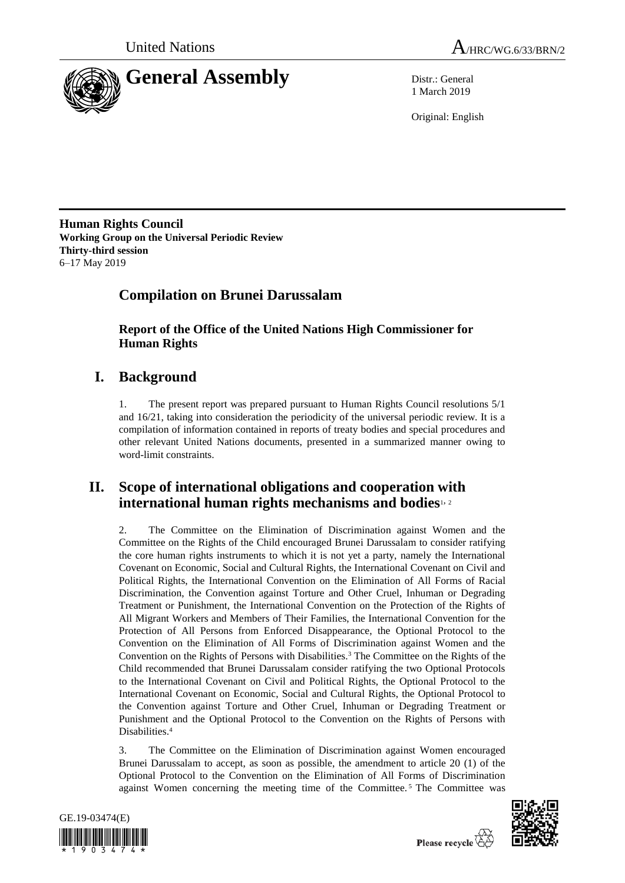



1 March 2019

Original: English

**Human Rights Council Working Group on the Universal Periodic Review Thirty-third session** 6–17 May 2019

# **Compilation on Brunei Darussalam**

**Report of the Office of the United Nations High Commissioner for Human Rights**

# **I. Background**

1. The present report was prepared pursuant to Human Rights Council resolutions 5/1 and 16/21, taking into consideration the periodicity of the universal periodic review. It is a compilation of information contained in reports of treaty bodies and special procedures and other relevant United Nations documents, presented in a summarized manner owing to word-limit constraints.

## **II. Scope of international obligations and cooperation with international human rights mechanisms and bodies**1, <sup>2</sup>

2. The Committee on the Elimination of Discrimination against Women and the Committee on the Rights of the Child encouraged Brunei Darussalam to consider ratifying the core human rights instruments to which it is not yet a party, namely the International Covenant on Economic, Social and Cultural Rights, the International Covenant on Civil and Political Rights, the International Convention on the Elimination of All Forms of Racial Discrimination, the Convention against Torture and Other Cruel, Inhuman or Degrading Treatment or Punishment, the International Convention on the Protection of the Rights of All Migrant Workers and Members of Their Families, the International Convention for the Protection of All Persons from Enforced Disappearance, the Optional Protocol to the Convention on the Elimination of All Forms of Discrimination against Women and the Convention on the Rights of Persons with Disabilities.<sup>3</sup> The Committee on the Rights of the Child recommended that Brunei Darussalam consider ratifying the two Optional Protocols to the International Covenant on Civil and Political Rights, the Optional Protocol to the International Covenant on Economic, Social and Cultural Rights, the Optional Protocol to the Convention against Torture and Other Cruel, Inhuman or Degrading Treatment or Punishment and the Optional Protocol to the Convention on the Rights of Persons with Disabilities.<sup>4</sup>

3. The Committee on the Elimination of Discrimination against Women encouraged Brunei Darussalam to accept, as soon as possible, the amendment to article 20 (1) of the Optional Protocol to the Convention on the Elimination of All Forms of Discrimination against Women concerning the meeting time of the Committee. <sup>5</sup> The Committee was





Please recycle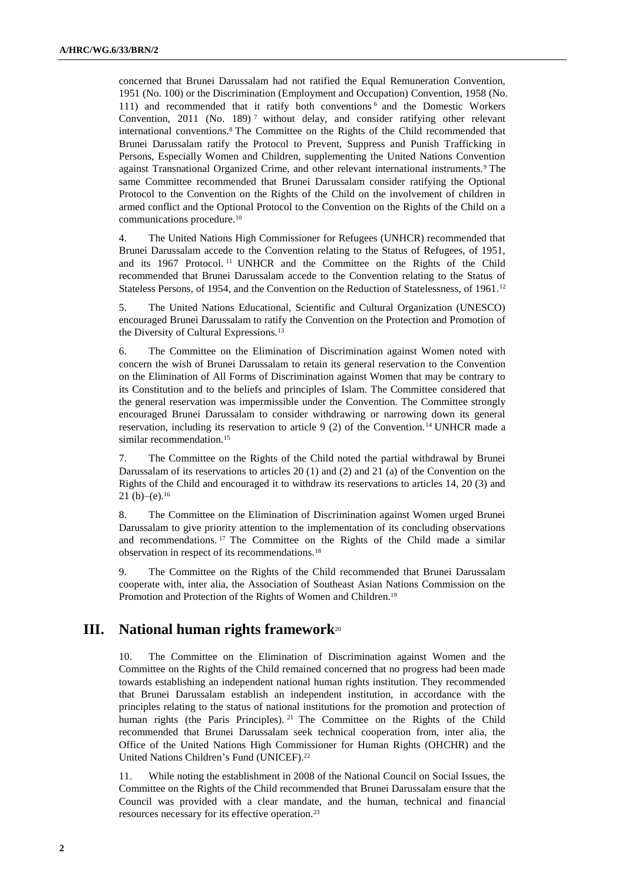concerned that Brunei Darussalam had not ratified the Equal Remuneration Convention, 1951 (No. 100) or the Discrimination (Employment and Occupation) Convention, 1958 (No. 111) and recommended that it ratify both conventions <sup>6</sup> and the Domestic Workers Convention, 2011 (No. 189)<sup>7</sup> without delay, and consider ratifying other relevant international conventions.<sup>8</sup> The Committee on the Rights of the Child recommended that Brunei Darussalam ratify the Protocol to Prevent, Suppress and Punish Trafficking in Persons, Especially Women and Children, supplementing the United Nations Convention against Transnational Organized Crime, and other relevant international instruments.<sup>9</sup> The same Committee recommended that Brunei Darussalam consider ratifying the Optional Protocol to the Convention on the Rights of the Child on the involvement of children in armed conflict and the Optional Protocol to the Convention on the Rights of the Child on a communications procedure.<sup>10</sup>

4. The United Nations High Commissioner for Refugees (UNHCR) recommended that Brunei Darussalam accede to the Convention relating to the Status of Refugees, of 1951, and its 1967 Protocol. <sup>11</sup> UNHCR and the Committee on the Rights of the Child recommended that Brunei Darussalam accede to the Convention relating to the Status of Stateless Persons, of 1954, and the Convention on the Reduction of Statelessness, of 1961.<sup>12</sup>

5. The United Nations Educational, Scientific and Cultural Organization (UNESCO) encouraged Brunei Darussalam to ratify the Convention on the Protection and Promotion of the Diversity of Cultural Expressions.<sup>13</sup>

6. The Committee on the Elimination of Discrimination against Women noted with concern the wish of Brunei Darussalam to retain its general reservation to the Convention on the Elimination of All Forms of Discrimination against Women that may be contrary to its Constitution and to the beliefs and principles of Islam. The Committee considered that the general reservation was impermissible under the Convention. The Committee strongly encouraged Brunei Darussalam to consider withdrawing or narrowing down its general reservation, including its reservation to article 9 (2) of the Convention.<sup>14</sup> UNHCR made a similar recommendation.<sup>15</sup>

7. The Committee on the Rights of the Child noted the partial withdrawal by Brunei Darussalam of its reservations to articles 20 (1) and (2) and 21 (a) of the Convention on the Rights of the Child and encouraged it to withdraw its reservations to articles 14, 20 (3) and 21 $(b)$ – $(e)$ .<sup>16</sup>

8. The Committee on the Elimination of Discrimination against Women urged Brunei Darussalam to give priority attention to the implementation of its concluding observations and recommendations. <sup>17</sup> The Committee on the Rights of the Child made a similar observation in respect of its recommendations.<sup>18</sup>

9. The Committee on the Rights of the Child recommended that Brunei Darussalam cooperate with, inter alia, the Association of Southeast Asian Nations Commission on the Promotion and Protection of the Rights of Women and Children.<sup>19</sup>

## **III. National human rights framework**<sup>20</sup>

10. The Committee on the Elimination of Discrimination against Women and the Committee on the Rights of the Child remained concerned that no progress had been made towards establishing an independent national human rights institution. They recommended that Brunei Darussalam establish an independent institution, in accordance with the principles relating to the status of national institutions for the promotion and protection of human rights (the Paris Principles). <sup>21</sup> The Committee on the Rights of the Child recommended that Brunei Darussalam seek technical cooperation from, inter alia, the Office of the United Nations High Commissioner for Human Rights (OHCHR) and the United Nations Children's Fund (UNICEF). 22

11. While noting the establishment in 2008 of the National Council on Social Issues, the Committee on the Rights of the Child recommended that Brunei Darussalam ensure that the Council was provided with a clear mandate, and the human, technical and financial resources necessary for its effective operation.23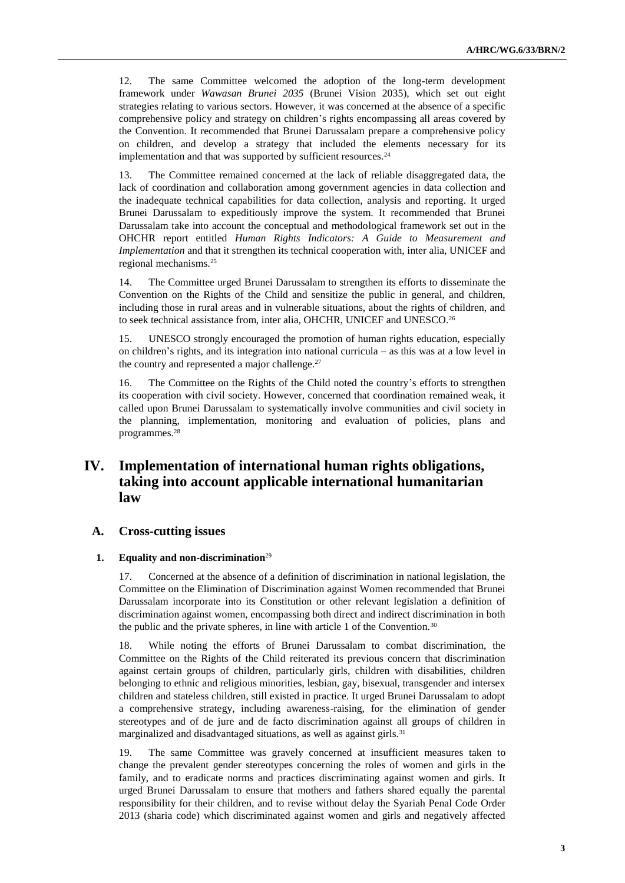12. The same Committee welcomed the adoption of the long-term development framework under *Wawasan Brunei 2035* (Brunei Vision 2035), which set out eight strategies relating to various sectors. However, it was concerned at the absence of a specific comprehensive policy and strategy on children's rights encompassing all areas covered by the Convention. It recommended that Brunei Darussalam prepare a comprehensive policy on children, and develop a strategy that included the elements necessary for its implementation and that was supported by sufficient resources.<sup>24</sup>

13. The Committee remained concerned at the lack of reliable disaggregated data, the lack of coordination and collaboration among government agencies in data collection and the inadequate technical capabilities for data collection, analysis and reporting. It urged Brunei Darussalam to expeditiously improve the system. It recommended that Brunei Darussalam take into account the conceptual and methodological framework set out in the OHCHR report entitled *Human Rights Indicators: A Guide to Measurement and Implementation* and that it strengthen its technical cooperation with, inter alia, UNICEF and regional mechanisms.<sup>25</sup>

14. The Committee urged Brunei Darussalam to strengthen its efforts to disseminate the Convention on the Rights of the Child and sensitize the public in general, and children, including those in rural areas and in vulnerable situations, about the rights of children, and to seek technical assistance from, inter alia, OHCHR, UNICEF and UNESCO.<sup>26</sup>

15. UNESCO strongly encouraged the promotion of human rights education, especially on children's rights, and its integration into national curricula – as this was at a low level in the country and represented a major challenge.<sup>27</sup>

16. The Committee on the Rights of the Child noted the country's efforts to strengthen its cooperation with civil society. However, concerned that coordination remained weak, it called upon Brunei Darussalam to systematically involve communities and civil society in the planning, implementation, monitoring and evaluation of policies, plans and programmes.<sup>28</sup>

## **IV. Implementation of international human rights obligations, taking into account applicable international humanitarian law**

#### **A. Cross-cutting issues**

#### **1. Equality and non-discrimination**<sup>29</sup>

17. Concerned at the absence of a definition of discrimination in national legislation, the Committee on the Elimination of Discrimination against Women recommended that Brunei Darussalam incorporate into its Constitution or other relevant legislation a definition of discrimination against women, encompassing both direct and indirect discrimination in both the public and the private spheres, in line with article 1 of the Convention.<sup>30</sup>

18. While noting the efforts of Brunei Darussalam to combat discrimination, the Committee on the Rights of the Child reiterated its previous concern that discrimination against certain groups of children, particularly girls, children with disabilities, children belonging to ethnic and religious minorities, lesbian, gay, bisexual, transgender and intersex children and stateless children, still existed in practice. It urged Brunei Darussalam to adopt a comprehensive strategy, including awareness-raising, for the elimination of gender stereotypes and of de jure and de facto discrimination against all groups of children in marginalized and disadvantaged situations, as well as against girls.<sup>31</sup>

19. The same Committee was gravely concerned at insufficient measures taken to change the prevalent gender stereotypes concerning the roles of women and girls in the family, and to eradicate norms and practices discriminating against women and girls. It urged Brunei Darussalam to ensure that mothers and fathers shared equally the parental responsibility for their children, and to revise without delay the Syariah Penal Code Order 2013 (sharia code) which discriminated against women and girls and negatively affected

**3**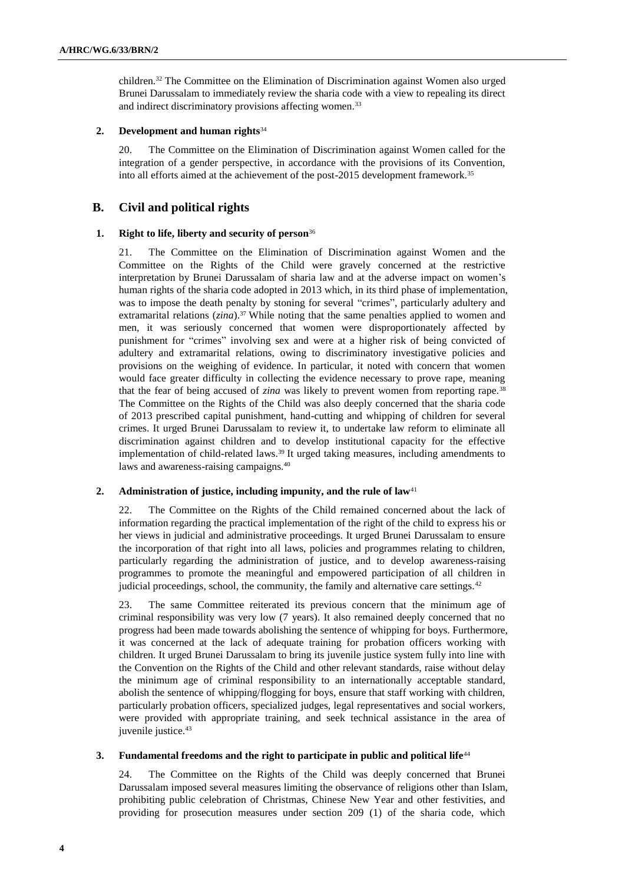children.<sup>32</sup> The Committee on the Elimination of Discrimination against Women also urged Brunei Darussalam to immediately review the sharia code with a view to repealing its direct and indirect discriminatory provisions affecting women.<sup>33</sup>

#### **2. Development and human rights**<sup>34</sup>

20. The Committee on the Elimination of Discrimination against Women called for the integration of a gender perspective, in accordance with the provisions of its Convention, into all efforts aimed at the achievement of the post-2015 development framework.<sup>35</sup>

### **B. Civil and political rights**

#### **1. Right to life, liberty and security of person**<sup>36</sup>

21. The Committee on the Elimination of Discrimination against Women and the Committee on the Rights of the Child were gravely concerned at the restrictive interpretation by Brunei Darussalam of sharia law and at the adverse impact on women's human rights of the sharia code adopted in 2013 which, in its third phase of implementation, was to impose the death penalty by stoning for several "crimes", particularly adultery and extramarital relations (*zina*).<sup>37</sup> While noting that the same penalties applied to women and men, it was seriously concerned that women were disproportionately affected by punishment for "crimes" involving sex and were at a higher risk of being convicted of adultery and extramarital relations, owing to discriminatory investigative policies and provisions on the weighing of evidence. In particular, it noted with concern that women would face greater difficulty in collecting the evidence necessary to prove rape, meaning that the fear of being accused of *zina* was likely to prevent women from reporting rape.<sup>38</sup> The Committee on the Rights of the Child was also deeply concerned that the sharia code of 2013 prescribed capital punishment, hand-cutting and whipping of children for several crimes. It urged Brunei Darussalam to review it, to undertake law reform to eliminate all discrimination against children and to develop institutional capacity for the effective implementation of child-related laws.<sup>39</sup> It urged taking measures, including amendments to laws and awareness-raising campaigns.<sup>40</sup>

#### 2. **Administration of justice, including impunity, and the rule of law<sup>41</sup>**

22. The Committee on the Rights of the Child remained concerned about the lack of information regarding the practical implementation of the right of the child to express his or her views in judicial and administrative proceedings. It urged Brunei Darussalam to ensure the incorporation of that right into all laws, policies and programmes relating to children, particularly regarding the administration of justice, and to develop awareness-raising programmes to promote the meaningful and empowered participation of all children in judicial proceedings, school, the community, the family and alternative care settings.<sup>42</sup>

23. The same Committee reiterated its previous concern that the minimum age of criminal responsibility was very low (7 years). It also remained deeply concerned that no progress had been made towards abolishing the sentence of whipping for boys. Furthermore, it was concerned at the lack of adequate training for probation officers working with children. It urged Brunei Darussalam to bring its juvenile justice system fully into line with the Convention on the Rights of the Child and other relevant standards, raise without delay the minimum age of criminal responsibility to an internationally acceptable standard, abolish the sentence of whipping/flogging for boys, ensure that staff working with children, particularly probation officers, specialized judges, legal representatives and social workers, were provided with appropriate training, and seek technical assistance in the area of juvenile justice.<sup>43</sup>

#### **3. Fundamental freedoms and the right to participate in public and political life**<sup>44</sup>

24. The Committee on the Rights of the Child was deeply concerned that Brunei Darussalam imposed several measures limiting the observance of religions other than Islam, prohibiting public celebration of Christmas, Chinese New Year and other festivities, and providing for prosecution measures under section 209 (1) of the sharia code, which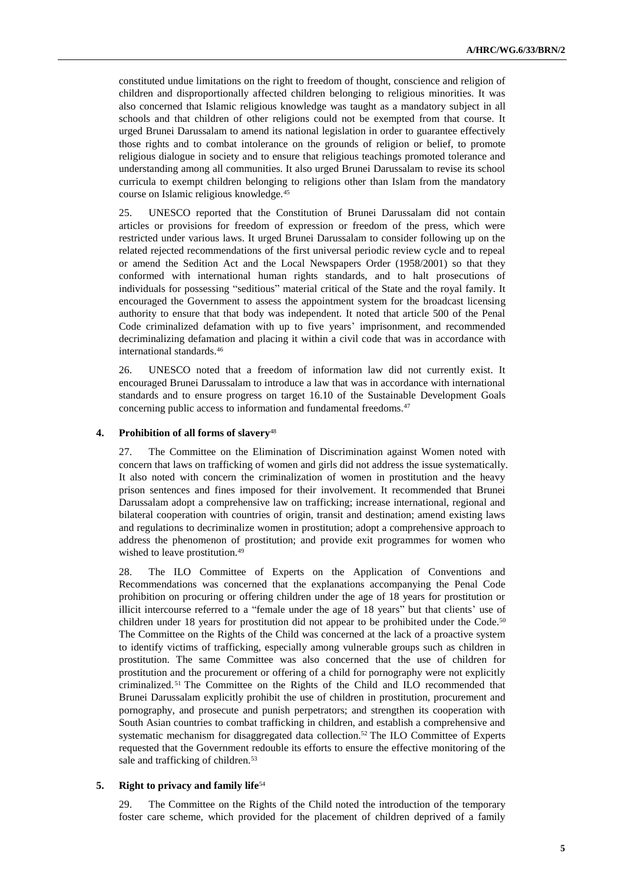constituted undue limitations on the right to freedom of thought, conscience and religion of children and disproportionally affected children belonging to religious minorities. It was also concerned that Islamic religious knowledge was taught as a mandatory subject in all schools and that children of other religions could not be exempted from that course. It urged Brunei Darussalam to amend its national legislation in order to guarantee effectively those rights and to combat intolerance on the grounds of religion or belief, to promote religious dialogue in society and to ensure that religious teachings promoted tolerance and understanding among all communities. It also urged Brunei Darussalam to revise its school curricula to exempt children belonging to religions other than Islam from the mandatory course on Islamic religious knowledge.<sup>45</sup>

25. UNESCO reported that the Constitution of Brunei Darussalam did not contain articles or provisions for freedom of expression or freedom of the press, which were restricted under various laws. It urged Brunei Darussalam to consider following up on the related rejected recommendations of the first universal periodic review cycle and to repeal or amend the Sedition Act and the Local Newspapers Order (1958/2001) so that they conformed with international human rights standards, and to halt prosecutions of individuals for possessing "seditious" material critical of the State and the royal family. It encouraged the Government to assess the appointment system for the broadcast licensing authority to ensure that that body was independent. It noted that article 500 of the Penal Code criminalized defamation with up to five years' imprisonment, and recommended decriminalizing defamation and placing it within a civil code that was in accordance with international standards.<sup>46</sup>

26. UNESCO noted that a freedom of information law did not currently exist. It encouraged Brunei Darussalam to introduce a law that was in accordance with international standards and to ensure progress on target 16.10 of the Sustainable Development Goals concerning public access to information and fundamental freedoms.<sup>47</sup>

#### **4. Prohibition of all forms of slavery**<sup>48</sup>

27. The Committee on the Elimination of Discrimination against Women noted with concern that laws on trafficking of women and girls did not address the issue systematically. It also noted with concern the criminalization of women in prostitution and the heavy prison sentences and fines imposed for their involvement. It recommended that Brunei Darussalam adopt a comprehensive law on trafficking; increase international, regional and bilateral cooperation with countries of origin, transit and destination; amend existing laws and regulations to decriminalize women in prostitution; adopt a comprehensive approach to address the phenomenon of prostitution; and provide exit programmes for women who wished to leave prostitution.<sup>49</sup>

28. The ILO Committee of Experts on the Application of Conventions and Recommendations was concerned that the explanations accompanying the Penal Code prohibition on procuring or offering children under the age of 18 years for prostitution or illicit intercourse referred to a "female under the age of 18 years" but that clients' use of children under 18 years for prostitution did not appear to be prohibited under the Code.<sup>50</sup> The Committee on the Rights of the Child was concerned at the lack of a proactive system to identify victims of trafficking, especially among vulnerable groups such as children in prostitution. The same Committee was also concerned that the use of children for prostitution and the procurement or offering of a child for pornography were not explicitly criminalized. <sup>51</sup> The Committee on the Rights of the Child and ILO recommended that Brunei Darussalam explicitly prohibit the use of children in prostitution, procurement and pornography, and prosecute and punish perpetrators; and strengthen its cooperation with South Asian countries to combat trafficking in children, and establish a comprehensive and systematic mechanism for disaggregated data collection.<sup>52</sup> The ILO Committee of Experts requested that the Government redouble its efforts to ensure the effective monitoring of the sale and trafficking of children.<sup>53</sup>

#### **5. Right to privacy and family life**<sup>54</sup>

29. The Committee on the Rights of the Child noted the introduction of the temporary foster care scheme, which provided for the placement of children deprived of a family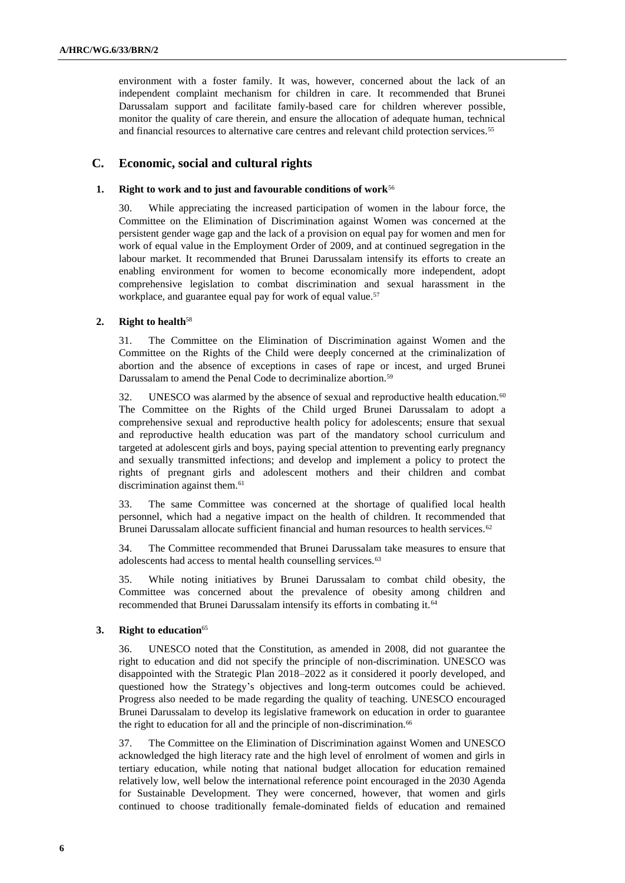environment with a foster family. It was, however, concerned about the lack of an independent complaint mechanism for children in care. It recommended that Brunei Darussalam support and facilitate family-based care for children wherever possible, monitor the quality of care therein, and ensure the allocation of adequate human, technical and financial resources to alternative care centres and relevant child protection services.<sup>55</sup>

### **C. Economic, social and cultural rights**

#### **1. Right to work and to just and favourable conditions of work**<sup>56</sup>

30. While appreciating the increased participation of women in the labour force, the Committee on the Elimination of Discrimination against Women was concerned at the persistent gender wage gap and the lack of a provision on equal pay for women and men for work of equal value in the Employment Order of 2009, and at continued segregation in the labour market. It recommended that Brunei Darussalam intensify its efforts to create an enabling environment for women to become economically more independent, adopt comprehensive legislation to combat discrimination and sexual harassment in the workplace, and guarantee equal pay for work of equal value.<sup>57</sup>

#### **2. Right to health**<sup>58</sup>

31. The Committee on the Elimination of Discrimination against Women and the Committee on the Rights of the Child were deeply concerned at the criminalization of abortion and the absence of exceptions in cases of rape or incest, and urged Brunei Darussalam to amend the Penal Code to decriminalize abortion.<sup>59</sup>

32. UNESCO was alarmed by the absence of sexual and reproductive health education.<sup>60</sup> The Committee on the Rights of the Child urged Brunei Darussalam to adopt a comprehensive sexual and reproductive health policy for adolescents; ensure that sexual and reproductive health education was part of the mandatory school curriculum and targeted at adolescent girls and boys, paying special attention to preventing early pregnancy and sexually transmitted infections; and develop and implement a policy to protect the rights of pregnant girls and adolescent mothers and their children and combat discrimination against them.<sup>61</sup>

33. The same Committee was concerned at the shortage of qualified local health personnel, which had a negative impact on the health of children. It recommended that Brunei Darussalam allocate sufficient financial and human resources to health services.<sup>62</sup>

34. The Committee recommended that Brunei Darussalam take measures to ensure that adolescents had access to mental health counselling services.<sup>63</sup>

35. While noting initiatives by Brunei Darussalam to combat child obesity, the Committee was concerned about the prevalence of obesity among children and recommended that Brunei Darussalam intensify its efforts in combating it.<sup>64</sup>

#### **3. Right to education**<sup>65</sup>

36. UNESCO noted that the Constitution, as amended in 2008, did not guarantee the right to education and did not specify the principle of non-discrimination. UNESCO was disappointed with the Strategic Plan 2018–2022 as it considered it poorly developed, and questioned how the Strategy's objectives and long-term outcomes could be achieved. Progress also needed to be made regarding the quality of teaching. UNESCO encouraged Brunei Darussalam to develop its legislative framework on education in order to guarantee the right to education for all and the principle of non-discrimination.<sup>66</sup>

37. The Committee on the Elimination of Discrimination against Women and UNESCO acknowledged the high literacy rate and the high level of enrolment of women and girls in tertiary education, while noting that national budget allocation for education remained relatively low, well below the international reference point encouraged in the 2030 Agenda for Sustainable Development. They were concerned, however, that women and girls continued to choose traditionally female-dominated fields of education and remained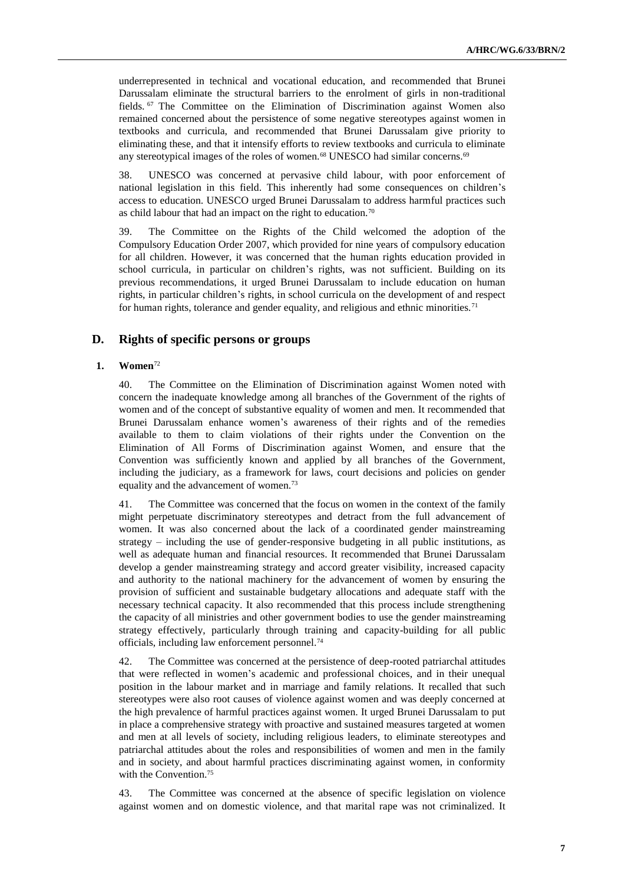underrepresented in technical and vocational education, and recommended that Brunei Darussalam eliminate the structural barriers to the enrolment of girls in non-traditional fields. <sup>67</sup> The Committee on the Elimination of Discrimination against Women also remained concerned about the persistence of some negative stereotypes against women in textbooks and curricula, and recommended that Brunei Darussalam give priority to eliminating these, and that it intensify efforts to review textbooks and curricula to eliminate any stereotypical images of the roles of women.<sup>68</sup> UNESCO had similar concerns.<sup>69</sup>

38. UNESCO was concerned at pervasive child labour, with poor enforcement of national legislation in this field. This inherently had some consequences on children's access to education. UNESCO urged Brunei Darussalam to address harmful practices such as child labour that had an impact on the right to education.<sup>70</sup>

39. The Committee on the Rights of the Child welcomed the adoption of the Compulsory Education Order 2007, which provided for nine years of compulsory education for all children. However, it was concerned that the human rights education provided in school curricula, in particular on children's rights, was not sufficient. Building on its previous recommendations, it urged Brunei Darussalam to include education on human rights, in particular children's rights, in school curricula on the development of and respect for human rights, tolerance and gender equality, and religious and ethnic minorities.<sup>71</sup>

## **D. Rights of specific persons or groups**

### **1. Women**<sup>72</sup>

40. The Committee on the Elimination of Discrimination against Women noted with concern the inadequate knowledge among all branches of the Government of the rights of women and of the concept of substantive equality of women and men. It recommended that Brunei Darussalam enhance women's awareness of their rights and of the remedies available to them to claim violations of their rights under the Convention on the Elimination of All Forms of Discrimination against Women, and ensure that the Convention was sufficiently known and applied by all branches of the Government, including the judiciary, as a framework for laws, court decisions and policies on gender equality and the advancement of women.<sup>73</sup>

41. The Committee was concerned that the focus on women in the context of the family might perpetuate discriminatory stereotypes and detract from the full advancement of women. It was also concerned about the lack of a coordinated gender mainstreaming strategy – including the use of gender-responsive budgeting in all public institutions, as well as adequate human and financial resources. It recommended that Brunei Darussalam develop a gender mainstreaming strategy and accord greater visibility, increased capacity and authority to the national machinery for the advancement of women by ensuring the provision of sufficient and sustainable budgetary allocations and adequate staff with the necessary technical capacity. It also recommended that this process include strengthening the capacity of all ministries and other government bodies to use the gender mainstreaming strategy effectively, particularly through training and capacity-building for all public officials, including law enforcement personnel.<sup>74</sup>

42. The Committee was concerned at the persistence of deep-rooted patriarchal attitudes that were reflected in women's academic and professional choices, and in their unequal position in the labour market and in marriage and family relations. It recalled that such stereotypes were also root causes of violence against women and was deeply concerned at the high prevalence of harmful practices against women. It urged Brunei Darussalam to put in place a comprehensive strategy with proactive and sustained measures targeted at women and men at all levels of society, including religious leaders, to eliminate stereotypes and patriarchal attitudes about the roles and responsibilities of women and men in the family and in society, and about harmful practices discriminating against women, in conformity with the Convention.<sup>75</sup>

43. The Committee was concerned at the absence of specific legislation on violence against women and on domestic violence, and that marital rape was not criminalized. It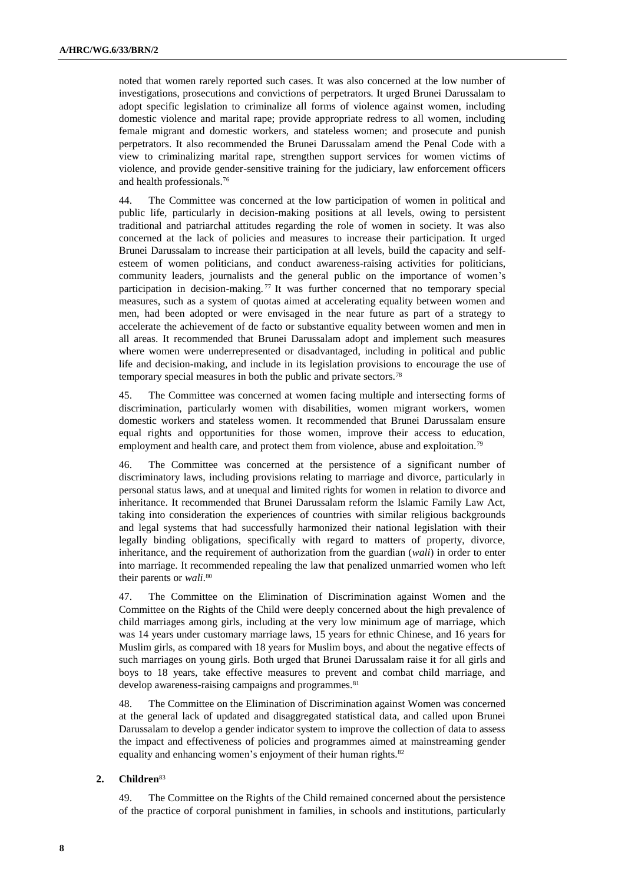noted that women rarely reported such cases. It was also concerned at the low number of investigations, prosecutions and convictions of perpetrators. It urged Brunei Darussalam to adopt specific legislation to criminalize all forms of violence against women, including domestic violence and marital rape; provide appropriate redress to all women, including female migrant and domestic workers, and stateless women; and prosecute and punish perpetrators. It also recommended the Brunei Darussalam amend the Penal Code with a view to criminalizing marital rape, strengthen support services for women victims of violence, and provide gender-sensitive training for the judiciary, law enforcement officers and health professionals.<sup>76</sup>

44. The Committee was concerned at the low participation of women in political and public life, particularly in decision-making positions at all levels, owing to persistent traditional and patriarchal attitudes regarding the role of women in society. It was also concerned at the lack of policies and measures to increase their participation. It urged Brunei Darussalam to increase their participation at all levels, build the capacity and selfesteem of women politicians, and conduct awareness-raising activities for politicians, community leaders, journalists and the general public on the importance of women's participation in decision-making.<sup>77</sup> It was further concerned that no temporary special measures, such as a system of quotas aimed at accelerating equality between women and men, had been adopted or were envisaged in the near future as part of a strategy to accelerate the achievement of de facto or substantive equality between women and men in all areas. It recommended that Brunei Darussalam adopt and implement such measures where women were underrepresented or disadvantaged, including in political and public life and decision-making, and include in its legislation provisions to encourage the use of temporary special measures in both the public and private sectors.<sup>78</sup>

45. The Committee was concerned at women facing multiple and intersecting forms of discrimination, particularly women with disabilities, women migrant workers, women domestic workers and stateless women. It recommended that Brunei Darussalam ensure equal rights and opportunities for those women, improve their access to education, employment and health care, and protect them from violence, abuse and exploitation.<sup>79</sup>

46. The Committee was concerned at the persistence of a significant number of discriminatory laws, including provisions relating to marriage and divorce, particularly in personal status laws, and at unequal and limited rights for women in relation to divorce and inheritance. It recommended that Brunei Darussalam reform the Islamic Family Law Act, taking into consideration the experiences of countries with similar religious backgrounds and legal systems that had successfully harmonized their national legislation with their legally binding obligations, specifically with regard to matters of property, divorce, inheritance, and the requirement of authorization from the guardian (*wali*) in order to enter into marriage. It recommended repealing the law that penalized unmarried women who left their parents or *wali*. 80

47. The Committee on the Elimination of Discrimination against Women and the Committee on the Rights of the Child were deeply concerned about the high prevalence of child marriages among girls, including at the very low minimum age of marriage, which was 14 years under customary marriage laws, 15 years for ethnic Chinese, and 16 years for Muslim girls, as compared with 18 years for Muslim boys, and about the negative effects of such marriages on young girls. Both urged that Brunei Darussalam raise it for all girls and boys to 18 years, take effective measures to prevent and combat child marriage, and develop awareness-raising campaigns and programmes.<sup>81</sup>

48. The Committee on the Elimination of Discrimination against Women was concerned at the general lack of updated and disaggregated statistical data, and called upon Brunei Darussalam to develop a gender indicator system to improve the collection of data to assess the impact and effectiveness of policies and programmes aimed at mainstreaming gender equality and enhancing women's enjoyment of their human rights.<sup>82</sup>

#### **2. Children**<sup>83</sup>

49. The Committee on the Rights of the Child remained concerned about the persistence of the practice of corporal punishment in families, in schools and institutions, particularly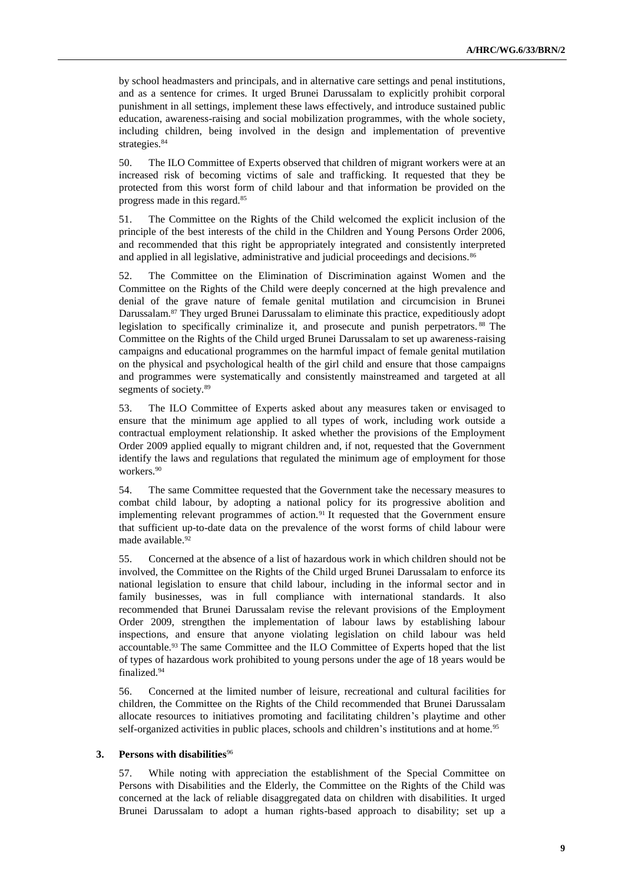by school headmasters and principals, and in alternative care settings and penal institutions, and as a sentence for crimes. It urged Brunei Darussalam to explicitly prohibit corporal punishment in all settings, implement these laws effectively, and introduce sustained public education, awareness-raising and social mobilization programmes, with the whole society, including children, being involved in the design and implementation of preventive strategies.<sup>84</sup>

50. The ILO Committee of Experts observed that children of migrant workers were at an increased risk of becoming victims of sale and trafficking. It requested that they be protected from this worst form of child labour and that information be provided on the progress made in this regard.<sup>85</sup>

51. The Committee on the Rights of the Child welcomed the explicit inclusion of the principle of the best interests of the child in the Children and Young Persons Order 2006, and recommended that this right be appropriately integrated and consistently interpreted and applied in all legislative, administrative and judicial proceedings and decisions.<sup>86</sup>

52. The Committee on the Elimination of Discrimination against Women and the Committee on the Rights of the Child were deeply concerned at the high prevalence and denial of the grave nature of female genital mutilation and circumcision in Brunei Darussalam.<sup>87</sup> They urged Brunei Darussalam to eliminate this practice, expeditiously adopt legislation to specifically criminalize it, and prosecute and punish perpetrators. <sup>88</sup> The Committee on the Rights of the Child urged Brunei Darussalam to set up awareness-raising campaigns and educational programmes on the harmful impact of female genital mutilation on the physical and psychological health of the girl child and ensure that those campaigns and programmes were systematically and consistently mainstreamed and targeted at all segments of society.<sup>89</sup>

53. The ILO Committee of Experts asked about any measures taken or envisaged to ensure that the minimum age applied to all types of work, including work outside a contractual employment relationship. It asked whether the provisions of the Employment Order 2009 applied equally to migrant children and, if not, requested that the Government identify the laws and regulations that regulated the minimum age of employment for those workers.<sup>90</sup>

54. The same Committee requested that the Government take the necessary measures to combat child labour, by adopting a national policy for its progressive abolition and implementing relevant programmes of action.<sup>91</sup> It requested that the Government ensure that sufficient up-to-date data on the prevalence of the worst forms of child labour were made available.<sup>92</sup>

55. Concerned at the absence of a list of hazardous work in which children should not be involved, the Committee on the Rights of the Child urged Brunei Darussalam to enforce its national legislation to ensure that child labour, including in the informal sector and in family businesses, was in full compliance with international standards. It also recommended that Brunei Darussalam revise the relevant provisions of the Employment Order 2009, strengthen the implementation of labour laws by establishing labour inspections, and ensure that anyone violating legislation on child labour was held accountable.<sup>93</sup> The same Committee and the ILO Committee of Experts hoped that the list of types of hazardous work prohibited to young persons under the age of 18 years would be finalized.<sup>94</sup>

56. Concerned at the limited number of leisure, recreational and cultural facilities for children, the Committee on the Rights of the Child recommended that Brunei Darussalam allocate resources to initiatives promoting and facilitating children's playtime and other self-organized activities in public places, schools and children's institutions and at home.<sup>95</sup>

#### **3. Persons with disabilities**<sup>96</sup>

57. While noting with appreciation the establishment of the Special Committee on Persons with Disabilities and the Elderly, the Committee on the Rights of the Child was concerned at the lack of reliable disaggregated data on children with disabilities. It urged Brunei Darussalam to adopt a human rights-based approach to disability; set up a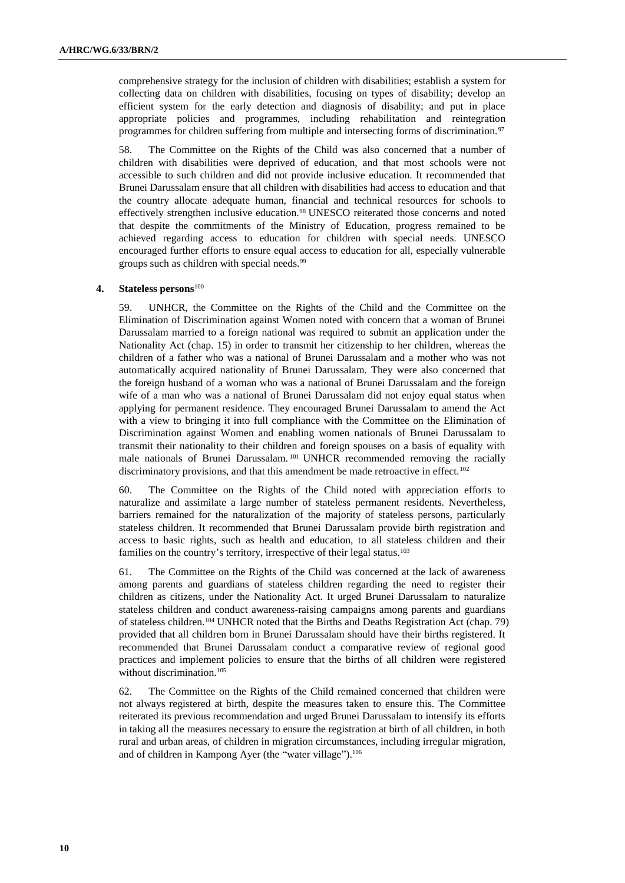comprehensive strategy for the inclusion of children with disabilities; establish a system for collecting data on children with disabilities, focusing on types of disability; develop an efficient system for the early detection and diagnosis of disability; and put in place appropriate policies and programmes, including rehabilitation and reintegration programmes for children suffering from multiple and intersecting forms of discrimination.<sup>97</sup>

58. The Committee on the Rights of the Child was also concerned that a number of children with disabilities were deprived of education, and that most schools were not accessible to such children and did not provide inclusive education. It recommended that Brunei Darussalam ensure that all children with disabilities had access to education and that the country allocate adequate human, financial and technical resources for schools to effectively strengthen inclusive education.<sup>98</sup> UNESCO reiterated those concerns and noted that despite the commitments of the Ministry of Education, progress remained to be achieved regarding access to education for children with special needs. UNESCO encouraged further efforts to ensure equal access to education for all, especially vulnerable groups such as children with special needs.<sup>99</sup>

#### **4. Stateless persons**<sup>100</sup>

59. UNHCR, the Committee on the Rights of the Child and the Committee on the Elimination of Discrimination against Women noted with concern that a woman of Brunei Darussalam married to a foreign national was required to submit an application under the Nationality Act (chap. 15) in order to transmit her citizenship to her children, whereas the children of a father who was a national of Brunei Darussalam and a mother who was not automatically acquired nationality of Brunei Darussalam. They were also concerned that the foreign husband of a woman who was a national of Brunei Darussalam and the foreign wife of a man who was a national of Brunei Darussalam did not enjoy equal status when applying for permanent residence. They encouraged Brunei Darussalam to amend the Act with a view to bringing it into full compliance with the Committee on the Elimination of Discrimination against Women and enabling women nationals of Brunei Darussalam to transmit their nationality to their children and foreign spouses on a basis of equality with male nationals of Brunei Darussalam. <sup>101</sup> UNHCR recommended removing the racially discriminatory provisions, and that this amendment be made retroactive in effect.<sup>102</sup>

60. The Committee on the Rights of the Child noted with appreciation efforts to naturalize and assimilate a large number of stateless permanent residents. Nevertheless, barriers remained for the naturalization of the majority of stateless persons, particularly stateless children. It recommended that Brunei Darussalam provide birth registration and access to basic rights, such as health and education, to all stateless children and their families on the country's territory, irrespective of their legal status.<sup>103</sup>

61. The Committee on the Rights of the Child was concerned at the lack of awareness among parents and guardians of stateless children regarding the need to register their children as citizens, under the Nationality Act. It urged Brunei Darussalam to naturalize stateless children and conduct awareness-raising campaigns among parents and guardians of stateless children.<sup>104</sup> UNHCR noted that the Births and Deaths Registration Act (chap. 79) provided that all children born in Brunei Darussalam should have their births registered. It recommended that Brunei Darussalam conduct a comparative review of regional good practices and implement policies to ensure that the births of all children were registered without discrimination.<sup>105</sup>

62. The Committee on the Rights of the Child remained concerned that children were not always registered at birth, despite the measures taken to ensure this. The Committee reiterated its previous recommendation and urged Brunei Darussalam to intensify its efforts in taking all the measures necessary to ensure the registration at birth of all children, in both rural and urban areas, of children in migration circumstances, including irregular migration, and of children in Kampong Ayer (the "water village").<sup>106</sup>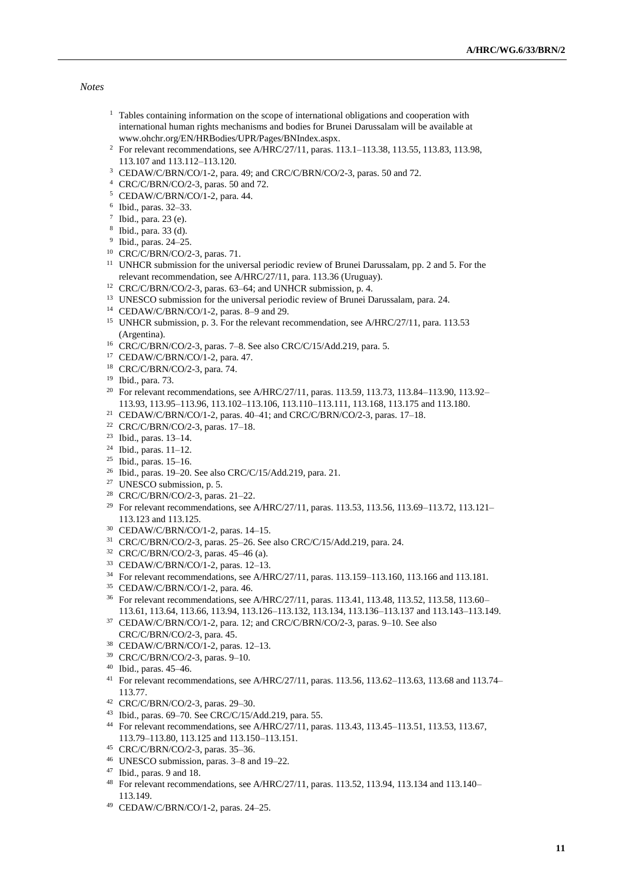*Notes*

- <sup>1</sup> Tables containing information on the scope of international obligations and cooperation with international human rights mechanisms and bodies for Brunei Darussalam will be available at [www.ohchr.org/EN/HRBodies/UPR/Pages/BNIndex.aspx.](file:///C:/Users/Abu-Harthieh/AppData/Local/Microsoft/Windows/INetCache/Content.Outlook/EPA58F1D/www.ohchr.org/EN/HRBodies/UPR/Pages/BNIndex.aspx)
- <sup>2</sup> For relevant recommendations, see A/HRC/27/11, paras. 113.1–113.38, 113.55, 113.83, 113.98, 113.107 and 113.112–113.120.
- CEDAW/C/BRN/CO/1-2, para. 49; and CRC/C/BRN/CO/2-3, paras. 50 and 72.
- CRC/C/BRN/CO/2-3, paras. 50 and 72.
- CEDAW/C/BRN/CO/1-2, para. 44.
- Ibid., paras. 32–33.
- $\frac{7}{1}$  Ibid., para. 23 (e).
- Ibid., para. 33 (d).
- Ibid., paras. 24–25.
- CRC/C/BRN/CO/2-3, paras. 71.
- <sup>11</sup> UNHCR submission for the universal periodic review of Brunei Darussalam, pp. 2 and 5. For the relevant recommendation, see A/HRC/27/11, para. 113.36 (Uruguay).
- CRC/C/BRN/CO/2-3, paras. 63–64; and UNHCR submission, p. 4.
- <sup>13</sup> UNESCO submission for the universal periodic review of Brunei Darussalam, para. 24.
- CEDAW/C/BRN/CO/1-2, paras. 8–9 and 29.
- <sup>15</sup> UNHCR submission, p. 3. For the relevant recommendation, see A/HRC/27/11, para. 113.53 (Argentina).
- CRC/C/BRN/CO/2-3, paras. 7–8. See also CRC/C/15/Add.219, para. 5.
- CEDAW/C/BRN/CO/1-2, para. 47.
- CRC/C/BRN/CO/2-3, para. 74.
- Ibid., para. 73.
- <sup>20</sup> For relevant recommendations, see A/HRC/27/11, paras. 113.59, 113.73, 113.84-113.90, 113.92-113.93, 113.95–113.96, 113.102–113.106, 113.110–113.111, 113.168, 113.175 and 113.180.
- CEDAW/C/BRN/CO/1-2, paras. 40–41; and CRC/C/BRN/CO/2-3, paras. 17–18.
- CRC/C/BRN/CO/2-3, paras. 17–18.
- Ibid., paras. 13–14.
- Ibid., paras. 11–12.
- Ibid., paras. 15–16.
- Ibid., paras. 19–20. See also CRC/C/15/Add.219, para. 21.
- UNESCO submission, p. 5.
- CRC/C/BRN/CO/2-3, paras. 21–22.
- <sup>29</sup> For relevant recommendations, see A/HRC/27/11, paras. 113.53, 113.56, 113.69-113.72, 113.121-113.123 and 113.125.
- CEDAW/C/BRN/CO/1-2, paras. 14–15.
- CRC/C/BRN/CO/2-3, paras. 25–26. See also CRC/C/15/Add.219, para. 24.
- CRC/C/BRN/CO/2-3, paras. 45–46 (a).
- CEDAW/C/BRN/CO/1-2, paras. 12–13.
- For relevant recommendations, see A/HRC/27/11, paras. 113.159–113.160, 113.166 and 113.181.
- CEDAW/C/BRN/CO/1-2, para. 46.
- For relevant recommendations, see A/HRC/27/11, paras. 113.41, 113.48, 113.52, 113.58, 113.60– 113.61, 113.64, 113.66, 113.94, 113.126–113.132, 113.134, 113.136–113.137 and 113.143–113.149.
- CEDAW/C/BRN/CO/1-2, para. 12; and CRC/C/BRN/CO/2-3, paras. 9–10. See also CRC/C/BRN/CO/2-3, para. 45.
- CEDAW/C/BRN/CO/1-2, paras. 12–13.
- CRC/C/BRN/CO/2-3, paras. 9–10.
- Ibid., paras. 45–46.
- For relevant recommendations, see A/HRC/27/11, paras. 113.56, 113.62–113.63, 113.68 and 113.74– 113.77.
- CRC/C/BRN/CO/2-3, paras. 29–30.
- Ibid., paras. 69–70. See CRC/C/15/Add.219, para. 55.
- For relevant recommendations, see A/HRC/27/11, paras. 113.43, 113.45–113.51, 113.53, 113.67, 113.79–113.80, 113.125 and 113.150–113.151.
- CRC/C/BRN/CO/2-3, paras. 35–36.
- UNESCO submission, paras. 3–8 and 19–22.
- Ibid., paras. 9 and 18.
- For relevant recommendations, see A/HRC/27/11, paras. 113.52, 113.94, 113.134 and 113.140– 113.149.
- CEDAW/C/BRN/CO/1-2, paras. 24–25.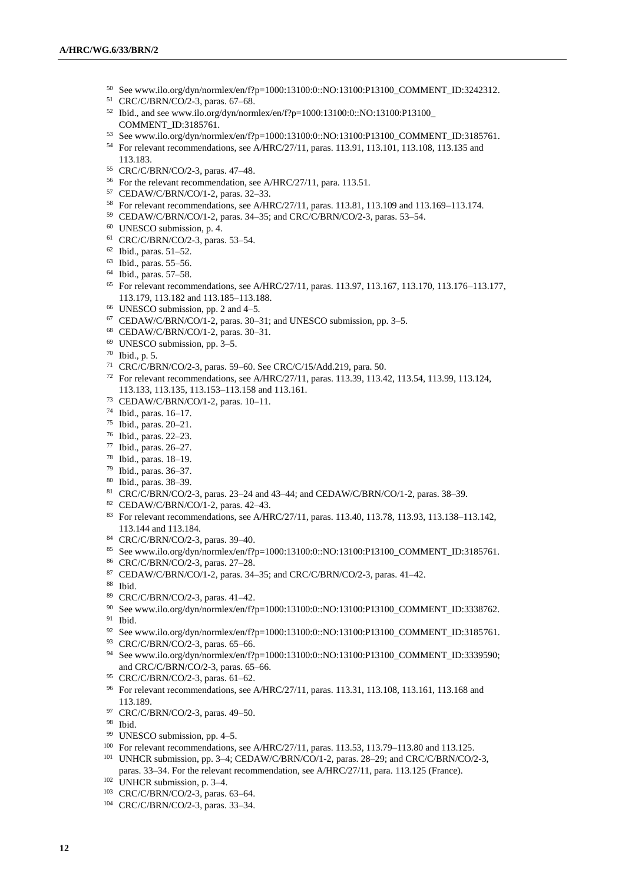- See www.ilo.org/dyn/normlex/en/f?p=1000:13100:0::NO:13100:P13100\_COMMENT\_ID:3242312.
- CRC/C/BRN/CO/2-3, paras. 67–68.
- Ibid., and see www.ilo.org/dyn/normlex/en/f?p=1000:13100:0::NO:13100:P13100 COMMENT\_ID:3185761.
- See www.ilo.org/dyn/normlex/en/f?p=1000:13100:0::NO:13100:P13100\_COMMENT\_ID:3185761.
- For relevant recommendations, see A/HRC/27/11, paras. 113.91, 113.101, 113.108, 113.135 and 113.183.
- CRC/C/BRN/CO/2-3, paras. 47–48.
- For the relevant recommendation, see A/HRC/27/11, para. 113.51.
- CEDAW/C/BRN/CO/1-2, paras. 32–33.
- For relevant recommendations, see A/HRC/27/11, paras. 113.81, 113.109 and 113.169–113.174.
- CEDAW/C/BRN/CO/1-2, paras. 34–35; and CRC/C/BRN/CO/2-3, paras. 53–54.
- UNESCO submission, p. 4.
- CRC/C/BRN/CO/2-3, paras. 53–54.
- Ibid., paras. 51–52.
- Ibid., paras. 55–56.
- Ibid., paras. 57–58.
- For relevant recommendations, see A/HRC/27/11, paras. 113.97, 113.167, 113.170, 113.176–113.177, 113.179, 113.182 and 113.185–113.188.
- UNESCO submission, pp. 2 and 4–5.
- CEDAW/C/BRN/CO/1-2, paras. 30–31; and UNESCO submission, pp. 3–5.
- CEDAW/C/BRN/CO/1-2, paras. 30–31.
- UNESCO submission, pp. 3–5.
- Ibid., p. 5.
- CRC/C/BRN/CO/2-3, paras. 59–60. See CRC/C/15/Add.219, para. 50.
- For relevant recommendations, see A/HRC/27/11, paras. 113.39, 113.42, 113.54, 113.99, 113.124, 113.133, 113.135, 113.153–113.158 and 113.161.
- CEDAW/C/BRN/CO/1-2, paras. 10–11.
- Ibid., paras. 16–17.
- Ibid., paras. 20–21.
- Ibid., paras. 22–23.
- Ibid., paras. 26–27.
- Ibid., paras. 18–19.
- Ibid., paras. 36–37.
- Ibid., paras. 38–39.
- CRC/C/BRN/CO/2-3, paras. 23–24 and 43–44; and CEDAW/C/BRN/CO/1-2, paras. 38–39.
- CEDAW/C/BRN/CO/1-2, paras. 42–43.
- For relevant recommendations, see A/HRC/27/11, paras. 113.40, 113.78, 113.93, 113.138–113.142, 113.144 and 113.184.
- CRC/C/BRN/CO/2-3, paras. 39–40.
- See www.ilo.org/dyn/normlex/en/f?p=1000:13100:0::NO:13100:P13100\_COMMENT\_ID:3185761.
- CRC/C/BRN/CO/2-3, paras. 27–28.
- CEDAW/C/BRN/CO/1-2, paras. 34–35; and CRC/C/BRN/CO/2-3, paras. 41–42.
- Ibid.
- CRC/C/BRN/CO/2-3, paras. 41–42.
- See www.ilo.org/dyn/normlex/en/f?p=1000:13100:0::NO:13100:P13100\_COMMENT\_ID:3338762. Ibid.
- See www.ilo.org/dyn/normlex/en/f?p=1000:13100:0::NO:13100:P13100\_COMMENT\_ID:3185761.
- CRC/C/BRN/CO/2-3, paras. 65–66.
- See www.ilo.org/dyn/normlex/en/f?p=1000:13100:0::NO:13100:P13100\_COMMENT\_ID:3339590; and CRC/C/BRN/CO/2-3, paras. 65–66.
- CRC/C/BRN/CO/2-3, paras. 61–62.
- For relevant recommendations, see A/HRC/27/11, paras. 113.31, 113.108, 113.161, 113.168 and 113.189.
- CRC/C/BRN/CO/2-3, paras. 49–50.
- Ibid.
- UNESCO submission, pp. 4–5.
- For relevant recommendations, see A/HRC/27/11, paras. 113.53, 113.79–113.80 and 113.125.
- UNHCR submission, pp. 3–4; CEDAW/C/BRN/CO/1-2, paras. 28–29; and CRC/C/BRN/CO/2-3, paras. 33–34. For the relevant recommendation, see A/HRC/27/11, para. 113.125 (France).
- <sup>102</sup> UNHCR submission, p. 3–4.
- CRC/C/BRN/CO/2-3, paras. 63–64.
- CRC/C/BRN/CO/2-3, paras. 33–34.